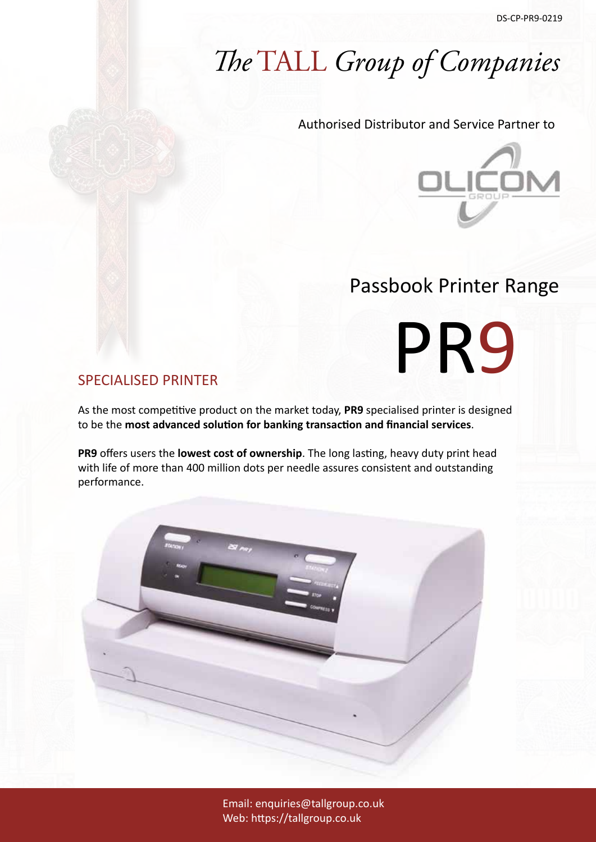# *The* TALL *Group of Companies*

#### Authorised Distributor and Service Partner to



# Passbook Printer Range

PR9

#### SPECIALISED PRINTER

As the most competitive product on the market today, **PR9** specialised printer is designed to be the **most advanced solution for banking transaction and financial services**.

**PR9** offers users the **lowest cost of ownership**. The long lasting, heavy duty print head with life of more than 400 million dots per needle assures consistent and outstanding performance.



Email: enquiries@tallgroup.co.uk Web: https://tallgroup.co.uk